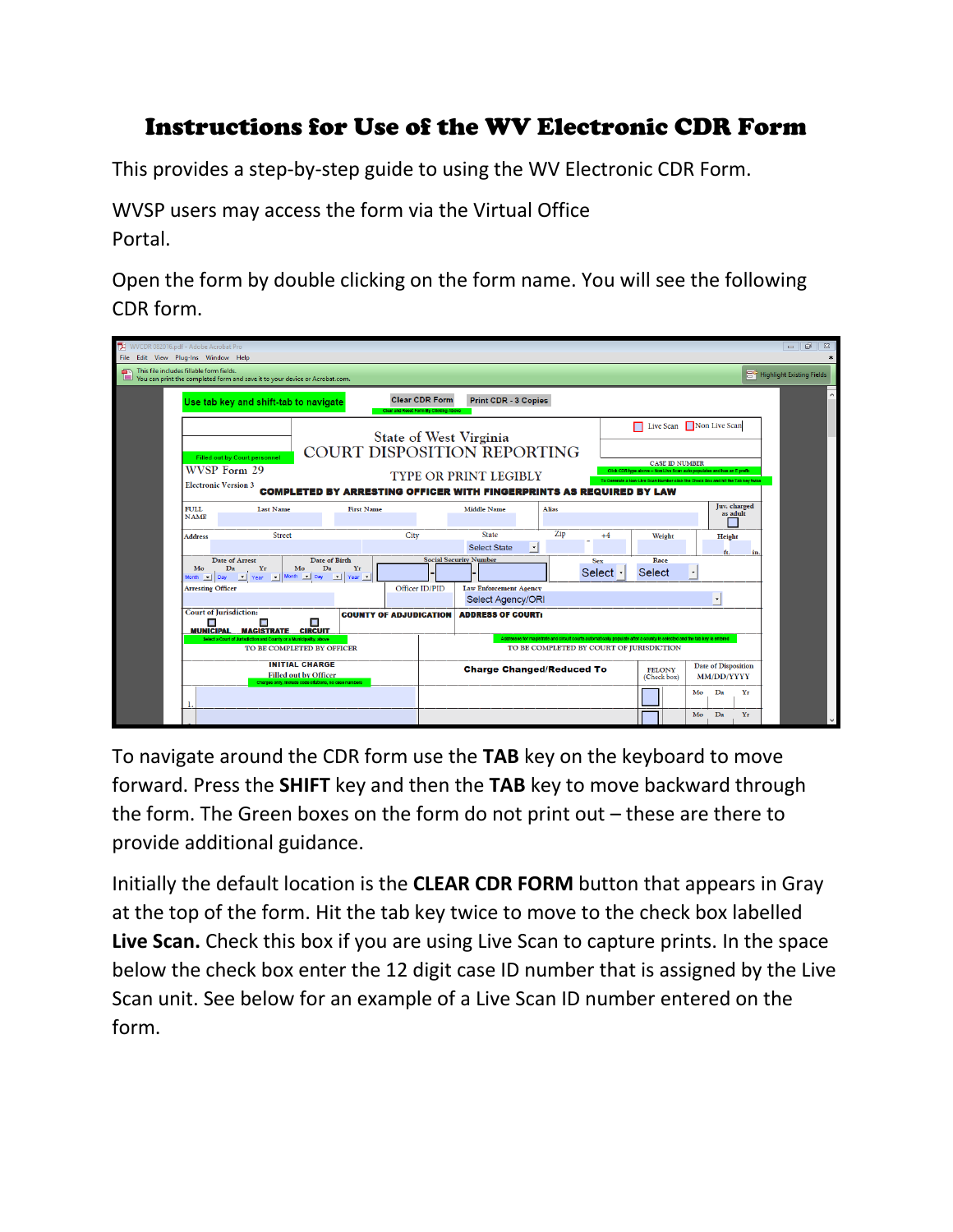## Instructions for Use of the WV Electronic CDR Form

This provides a step-by-step guide to using the WV Electronic CDR Form.

WVSP users may access the form via the Virtual Office Portal.

Open the form by double clicking on the form name. You will see the following CDR form.

| WVCDR 082016.pdf - Adobe Acrobat Pro                                                                                    |                                                                                                                                  |                                                                                                  |                           |                               |                                                                                                                     |                                                                                                                                                                            |              |                                                                                                                                                                                                                  |                       |        |                          |                                     | $\Box$<br>$\Sigma\!$ |
|-------------------------------------------------------------------------------------------------------------------------|----------------------------------------------------------------------------------------------------------------------------------|--------------------------------------------------------------------------------------------------|---------------------------|-------------------------------|---------------------------------------------------------------------------------------------------------------------|----------------------------------------------------------------------------------------------------------------------------------------------------------------------------|--------------|------------------------------------------------------------------------------------------------------------------------------------------------------------------------------------------------------------------|-----------------------|--------|--------------------------|-------------------------------------|----------------------|
| File Edit View Plug-Ins Window Help                                                                                     |                                                                                                                                  |                                                                                                  |                           |                               |                                                                                                                     |                                                                                                                                                                            |              |                                                                                                                                                                                                                  |                       |        |                          | ×                                   |                      |
| This file includes fillable form fields.<br>You can print the completed form and save it to your device or Acrobat.com. |                                                                                                                                  |                                                                                                  |                           |                               |                                                                                                                     |                                                                                                                                                                            |              |                                                                                                                                                                                                                  |                       |        |                          | <b>BO</b> Highlight Existing Fields |                      |
|                                                                                                                         | <b>Clear CDR Form</b><br>Print CDR - 3 Copies<br>Use tab key and shift-tab to navigate<br>Clear and Reset Form By Clicking Above |                                                                                                  |                           |                               |                                                                                                                     |                                                                                                                                                                            |              |                                                                                                                                                                                                                  |                       |        | Α                        |                                     |                      |
|                                                                                                                         | WVSP Form 29<br><b>Electronic Version 3</b>                                                                                      | <b>Filled out by Court personnel</b>                                                             |                           |                               |                                                                                                                     | State of West Virginia<br><b>COURT DISPOSITION REPORTING</b><br><b>TYPE OR PRINT LEGIBLY</b><br><b>COMPLETED BY ARRESTING OFFICER WITH FINGERPRINTS AS REQUIRED BY LAW</b> |              | Live Scan Non Live Scan<br><b>CASE ID NUMBER</b><br>Click CDR type above -- Non Live Scan auto populates and has an E prefix<br>To Generate a Non-Live Scan Number click the Check Box and hit the Tab key twice |                       |        |                          |                                     |                      |
|                                                                                                                         | <b>FULL</b><br><b>NAME</b>                                                                                                       | <b>Last Name</b>                                                                                 |                           | <b>First Name</b>             |                                                                                                                     | <b>Middle Name</b>                                                                                                                                                         | <b>Alias</b> |                                                                                                                                                                                                                  |                       |        |                          | Juv. charged<br>as adult            |                      |
|                                                                                                                         | <b>Address</b>                                                                                                                   | Street                                                                                           |                           |                               | City                                                                                                                | <b>State</b><br><b>Select State</b><br>$\cdot$                                                                                                                             | Zip          | $+4$                                                                                                                                                                                                             |                       | Weight | Height<br>ft.            |                                     |                      |
|                                                                                                                         | Mo<br>Month   Day                                                                                                                | Date of Arrest<br>Yr<br>Da<br>Year   Month   Day   J Year                                        | Date of Birth<br>Mo<br>Da | Yr                            |                                                                                                                     | <b>Social Security Number</b>                                                                                                                                              |              | <b>Sex</b><br>Select                                                                                                                                                                                             | Race<br><b>Select</b> |        | $\overline{\phantom{a}}$ |                                     |                      |
|                                                                                                                         | <b>Arresting Officer</b>                                                                                                         |                                                                                                  |                           |                               | Officer ID/PID                                                                                                      | <b>Law Enforcement Agency</b><br>Select Agency/ORI                                                                                                                         |              |                                                                                                                                                                                                                  |                       |        | $\overline{\phantom{a}}$ |                                     |                      |
|                                                                                                                         | <b>Court of Jurisdiction:</b><br>Ξ<br><b>MUNICIPAL</b>                                                                           | П<br><b>MAGISTRATE CIRCUIT</b>                                                                   |                           | <b>COUNTY OF ADJUDICATION</b> |                                                                                                                     | <b>ADDRESS OF COURT:</b>                                                                                                                                                   |              | Addresses for magistrate and circuit courts automatically populate after a county is selected and the tab key is entered                                                                                         |                       |        |                          |                                     |                      |
|                                                                                                                         |                                                                                                                                  | Select a Court of Jurisdiction and County or a Municipality, above<br>TO BE COMPLETED BY OFFICER |                           |                               |                                                                                                                     |                                                                                                                                                                            |              | TO BE COMPLETED BY COURT OF JURISDICTION                                                                                                                                                                         |                       |        |                          |                                     |                      |
|                                                                                                                         | <b>INITIAL CHARGE</b><br><b>Filled out by Officer</b><br>Charges only, include code citations, no case numbers                   |                                                                                                  |                           |                               | <b>Date of Disposition</b><br><b>Charge Changed/Reduced To</b><br><b>FELONY</b><br><b>MM/DD/YYYY</b><br>(Check box) |                                                                                                                                                                            |              |                                                                                                                                                                                                                  |                       |        |                          |                                     |                      |
|                                                                                                                         |                                                                                                                                  |                                                                                                  |                           |                               |                                                                                                                     |                                                                                                                                                                            |              |                                                                                                                                                                                                                  |                       |        | Da<br>Mo                 | Yr                                  |                      |
|                                                                                                                         |                                                                                                                                  |                                                                                                  |                           |                               |                                                                                                                     |                                                                                                                                                                            |              |                                                                                                                                                                                                                  |                       |        | Da<br>Mo                 | Yr                                  |                      |

To navigate around the CDR form use the **TAB** key on the keyboard to move forward. Press the **SHIFT** key and then the **TAB** key to move backward through the form. The Green boxes on the form do not print out – these are there to provide additional guidance.

Initially the default location is the **CLEAR CDR FORM** button that appears in Gray at the top of the form. Hit the tab key twice to move to the check box labelled **Live Scan.** Check this box if you are using Live Scan to capture prints. In the space below the check box enter the 12 digit case ID number that is assigned by the Live Scan unit. See below for an example of a Live Scan ID number entered on the form.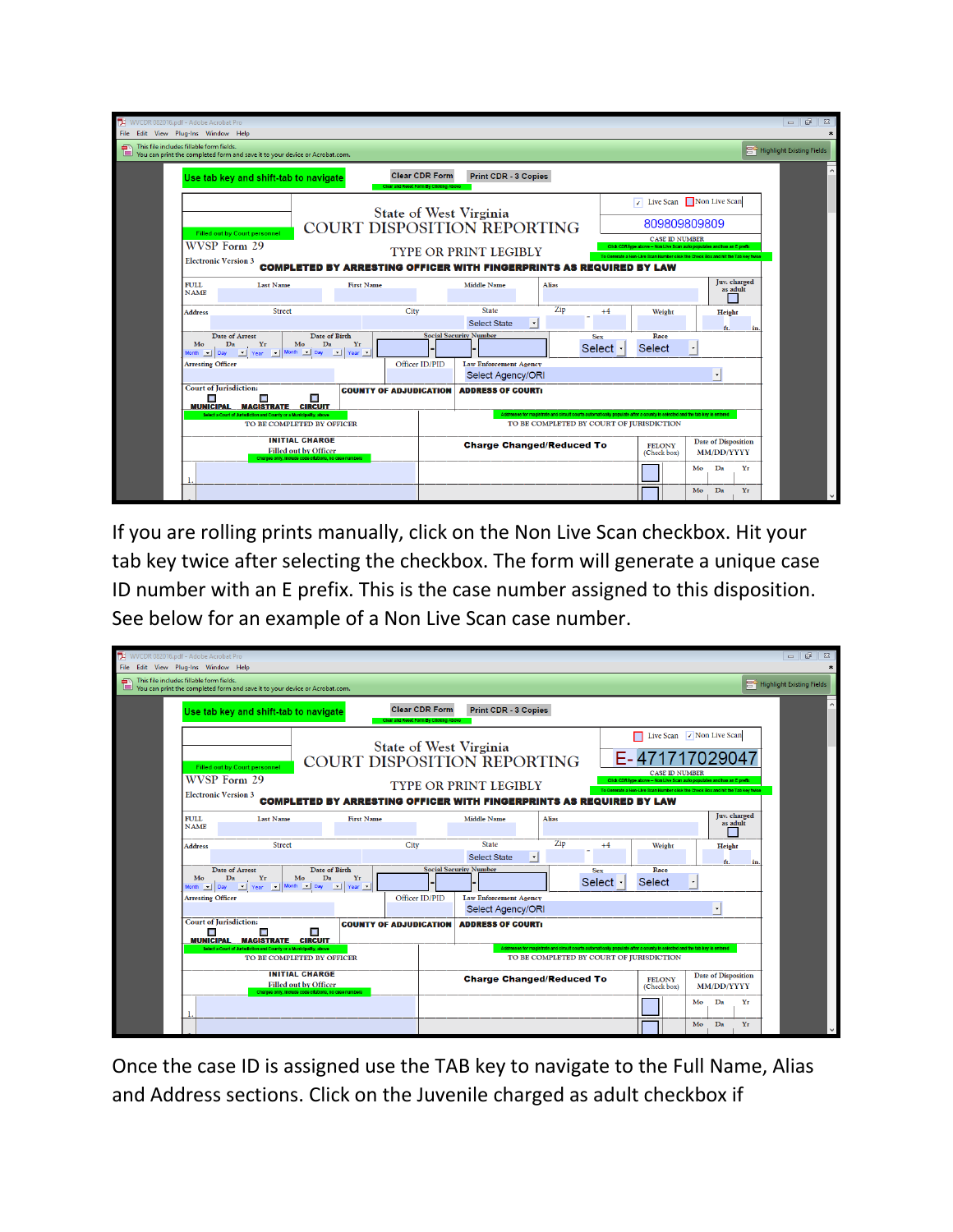| WVCDR 082016.pdf - Adobe Acrobat Pro<br>167<br>$\qquad \qquad \Box$<br>File Edit View Plug-Ins Window Help |                                                                                     |                                                                                                                                              |                                        |                                                                                                                                                                                                                                                                                                                                                                                                                  |                                                                            |                                                                              |                                                                                                                          |                |                                                                                 |                    | $\mathbb{Z}$             |                                     |
|------------------------------------------------------------------------------------------------------------|-------------------------------------------------------------------------------------|----------------------------------------------------------------------------------------------------------------------------------------------|----------------------------------------|------------------------------------------------------------------------------------------------------------------------------------------------------------------------------------------------------------------------------------------------------------------------------------------------------------------------------------------------------------------------------------------------------------------|----------------------------------------------------------------------------|------------------------------------------------------------------------------|--------------------------------------------------------------------------------------------------------------------------|----------------|---------------------------------------------------------------------------------|--------------------|--------------------------|-------------------------------------|
| This file includes fillable form fields.                                                                   |                                                                                     | This file includes fillable form fields.<br>$\Box$ You can print the completed form and save it to your device or Acrobat.com.               |                                        |                                                                                                                                                                                                                                                                                                                                                                                                                  |                                                                            |                                                                              |                                                                                                                          |                |                                                                                 |                    |                          | <b>BO</b> Highlight Existing Fields |
|                                                                                                            |                                                                                     | Use tab key and shift-tab to navigate                                                                                                        | Clear and Reset Form By Clicking Above | <b>Clear CDR Form</b>                                                                                                                                                                                                                                                                                                                                                                                            | Print CDR - 3 Copies                                                       |                                                                              |                                                                                                                          |                |                                                                                 |                    |                          |                                     |
|                                                                                                            | <b>Filled out by Court personnel</b><br>WVSP Form 29<br><b>Electronic Version 3</b> |                                                                                                                                              |                                        | I Live Scan Non Live Scan<br>State of West Virginia<br>809809809809<br><b>COURT DISPOSITION REPORTING</b><br><b>CASE ID NUMBER</b><br>Click CDR type above -- Non Live Scan auto populates and has an E prefix<br><b>TYPE OR PRINT LEGIBLY</b><br>To Generate a Non-Live Scan Number click the Check Box and hit the Tab key twice<br><b>COMPLETED BY ARRESTING OFFICER WITH FINGERPRINTS AS REQUIRED BY LAW</b> |                                                                            |                                                                              |                                                                                                                          |                |                                                                                 |                    |                          |                                     |
|                                                                                                            | <b>FULL</b><br><b>NAME</b>                                                          | <b>Last Name</b>                                                                                                                             | <b>First Name</b>                      |                                                                                                                                                                                                                                                                                                                                                                                                                  | <b>Middle Name</b>                                                         | <b>Alias</b>                                                                 |                                                                                                                          |                |                                                                                 |                    | Juv. charged<br>as adult |                                     |
|                                                                                                            | <b>Address</b>                                                                      | Street<br><b>Date of Arrest</b>                                                                                                              | City<br>Date of Birth                  |                                                                                                                                                                                                                                                                                                                                                                                                                  | <b>State</b><br><b>Select State</b><br>−∣<br><b>Social Security Number</b> | Zip                                                                          | $+4$<br><b>Sex</b>                                                                                                       | Weight<br>Race |                                                                                 | Height<br>ft.      | in                       |                                     |
|                                                                                                            | Mo<br><b>Arresting Officer</b>                                                      | Yr<br>Mo<br>Da<br>Da<br>Month   Day   Year   Month   Day   Year                                                                              | Yr<br>Officer ID/PID                   |                                                                                                                                                                                                                                                                                                                                                                                                                  | <b>Law Enforcement Agency</b><br>Select Agency/ORI                         |                                                                              | Select                                                                                                                   | Select         |                                                                                 | $\pmb{\mathrm{v}}$ |                          |                                     |
|                                                                                                            | Ξ<br><b>MUNICIPAL</b>                                                               | <b>Court of Jurisdiction:</b><br>п<br><b>MAGISTRATE CIRCUIT</b><br>Select a Court of Jurisdiction and County or a Municipality, above        | <b>COUNTY OF ADJUDICATION</b>          |                                                                                                                                                                                                                                                                                                                                                                                                                  | <b>ADDRESS OF COURT:</b>                                                   |                                                                              | Addresses for magistrate and circuit courts automatically populate after a county is selected and the tab key is entered |                |                                                                                 |                    |                          |                                     |
|                                                                                                            |                                                                                     | TO BE COMPLETED BY OFFICER<br><b>INITIAL CHARGE</b><br><b>Filled out by Officer</b><br>Charges only, include code citations, no case numbers |                                        |                                                                                                                                                                                                                                                                                                                                                                                                                  |                                                                            | TO BE COMPLETED BY COURT OF JURISDICTION<br><b>Charge Changed/Reduced To</b> |                                                                                                                          |                | <b>Date of Disposition</b><br><b>FELONY</b><br><b>MM/DD/YYYY</b><br>(Check box) |                    |                          |                                     |
|                                                                                                            |                                                                                     |                                                                                                                                              |                                        |                                                                                                                                                                                                                                                                                                                                                                                                                  |                                                                            |                                                                              |                                                                                                                          |                | Mo<br>Mo                                                                        | Da<br>Da           | Yr<br>Yr                 |                                     |

If you are rolling prints manually, click on the Non Live Scan checkbox. Hit your tab key twice after selecting the checkbox. The form will generate a unique case ID number with an E prefix. This is the case number assigned to this disposition. See below for an example of a Non Live Scan case number.

| WVCDR 082016.pdf - Adobe Acrobat Pro     |                                                                                                                                                                                                                                                                                                                                                                                                                                                                                                                 |                                                                              |                            |                               |                                                                                                              |                                                    |              |                                                                                                                                                                      |                       |            |               |                          | $\overline{\phantom{a}}$<br>$\mathbb{Z}$ |
|------------------------------------------|-----------------------------------------------------------------------------------------------------------------------------------------------------------------------------------------------------------------------------------------------------------------------------------------------------------------------------------------------------------------------------------------------------------------------------------------------------------------------------------------------------------------|------------------------------------------------------------------------------|----------------------------|-------------------------------|--------------------------------------------------------------------------------------------------------------|----------------------------------------------------|--------------|----------------------------------------------------------------------------------------------------------------------------------------------------------------------|-----------------------|------------|---------------|--------------------------|------------------------------------------|
| File Edit View Plug-Ins Window Help      |                                                                                                                                                                                                                                                                                                                                                                                                                                                                                                                 |                                                                              |                            |                               |                                                                                                              |                                                    |              |                                                                                                                                                                      |                       |            |               |                          |                                          |
| This file includes fillable form fields. |                                                                                                                                                                                                                                                                                                                                                                                                                                                                                                                 | Vou can print the completed form and save it to your device or Acrobat.com.  |                            |                               |                                                                                                              |                                                    |              |                                                                                                                                                                      |                       |            |               |                          | <b>BO</b> Highlight Existing Fields      |
|                                          | <b>Clear CDR Form</b><br><b>Print CDR - 3 Copies</b><br>Use tab key and shift-tab to navigate<br>Clear and Reset Form By Clicking Above                                                                                                                                                                                                                                                                                                                                                                         |                                                                              |                            |                               |                                                                                                              |                                                    |              |                                                                                                                                                                      |                       |            |               |                          |                                          |
|                                          | Live Scan 7 Non Live Scan<br>State of West Virginia<br>E-47171702904<br><b>COURT DISPOSITION REPORTING</b><br><b>Filled out by Court personnel</b><br><b>CASE ID NUMBER</b><br><b>WVSP Form 29</b><br>Click CDR type above -- Non Live Scan auto populates and has an E pretty<br><b>TYPE OR PRINT LEGIBLY</b><br>To Generate a Non-Live Scan Number click the Check Box and hit the Tab key twice<br><b>Electronic Version 3</b><br><b>COMPLETED BY ARRESTING OFFICER WITH FINGERPRINTS AS REQUIRED BY LAW</b> |                                                                              |                            |                               |                                                                                                              |                                                    |              |                                                                                                                                                                      |                       |            |               |                          |                                          |
|                                          | <b>FULL</b><br><b>NAME</b>                                                                                                                                                                                                                                                                                                                                                                                                                                                                                      | <b>Last Name</b>                                                             |                            | <b>First Name</b>             |                                                                                                              | <b>Middle Name</b>                                 | <b>Alias</b> |                                                                                                                                                                      |                       |            |               | Juv. charged<br>as adult |                                          |
|                                          | <b>Address</b>                                                                                                                                                                                                                                                                                                                                                                                                                                                                                                  | <b>Street</b>                                                                |                            |                               | City                                                                                                         | <b>State</b><br><b>Select State</b><br>H           | Zip          | $+4$                                                                                                                                                                 |                       | Weight     | Height<br>ft. | in                       |                                          |
|                                          | Mo                                                                                                                                                                                                                                                                                                                                                                                                                                                                                                              | <b>Date of Arrest</b><br>Yr<br>Da<br>Month   Day   Year   Month   Day   Year | Date of Birth<br>Mo<br>Da  | Yr                            |                                                                                                              | <b>Social Security Number</b>                      |              | <b>Sex</b><br>Select                                                                                                                                                 | Race<br><b>Select</b> | $\check{}$ |               |                          |                                          |
|                                          | <b>Arresting Officer</b>                                                                                                                                                                                                                                                                                                                                                                                                                                                                                        |                                                                              |                            |                               | Officer ID/PID                                                                                               | <b>Law Enforcement Agency</b><br>Select Agency/ORI |              |                                                                                                                                                                      |                       |            | $\star$       |                          |                                          |
|                                          | П<br><b>MUNICIPAL</b>                                                                                                                                                                                                                                                                                                                                                                                                                                                                                           | <b>Court of Jurisdiction:</b><br>п<br><b>MAGISTRATE CIRCUIT</b>              |                            | <b>COUNTY OF ADJUDICATION</b> |                                                                                                              | <b>ADDRESS OF COURT:</b>                           |              |                                                                                                                                                                      |                       |            |               |                          |                                          |
|                                          |                                                                                                                                                                                                                                                                                                                                                                                                                                                                                                                 | Select a Court of Jurisdiction and County or a Municipality, above           | TO BE COMPLETED BY OFFICER |                               |                                                                                                              |                                                    |              | Addresses for magistrate and circuit courts automatically populate after a county is selected and the tab key is entered<br>TO BE COMPLETED BY COURT OF JURISDICTION |                       |            |               |                          |                                          |
|                                          | <b>INITIAL CHARGE</b><br><b>Filled out by Officer</b><br>Charges only, include code citations, no case numbers                                                                                                                                                                                                                                                                                                                                                                                                  |                                                                              |                            |                               | <b>Date of Disposition</b><br><b>Charge Changed/Reduced To</b><br><b>FELONY</b><br>MM/DD/YYYY<br>(Check box) |                                                    |              |                                                                                                                                                                      |                       |            |               |                          |                                          |
|                                          |                                                                                                                                                                                                                                                                                                                                                                                                                                                                                                                 |                                                                              |                            |                               |                                                                                                              |                                                    |              |                                                                                                                                                                      |                       | Mo         | Da            | Yr                       |                                          |
|                                          |                                                                                                                                                                                                                                                                                                                                                                                                                                                                                                                 |                                                                              |                            |                               |                                                                                                              |                                                    |              |                                                                                                                                                                      |                       | Mo         | Da            | Yr                       |                                          |

Once the case ID is assigned use the TAB key to navigate to the Full Name, Alias and Address sections. Click on the Juvenile charged as adult checkbox if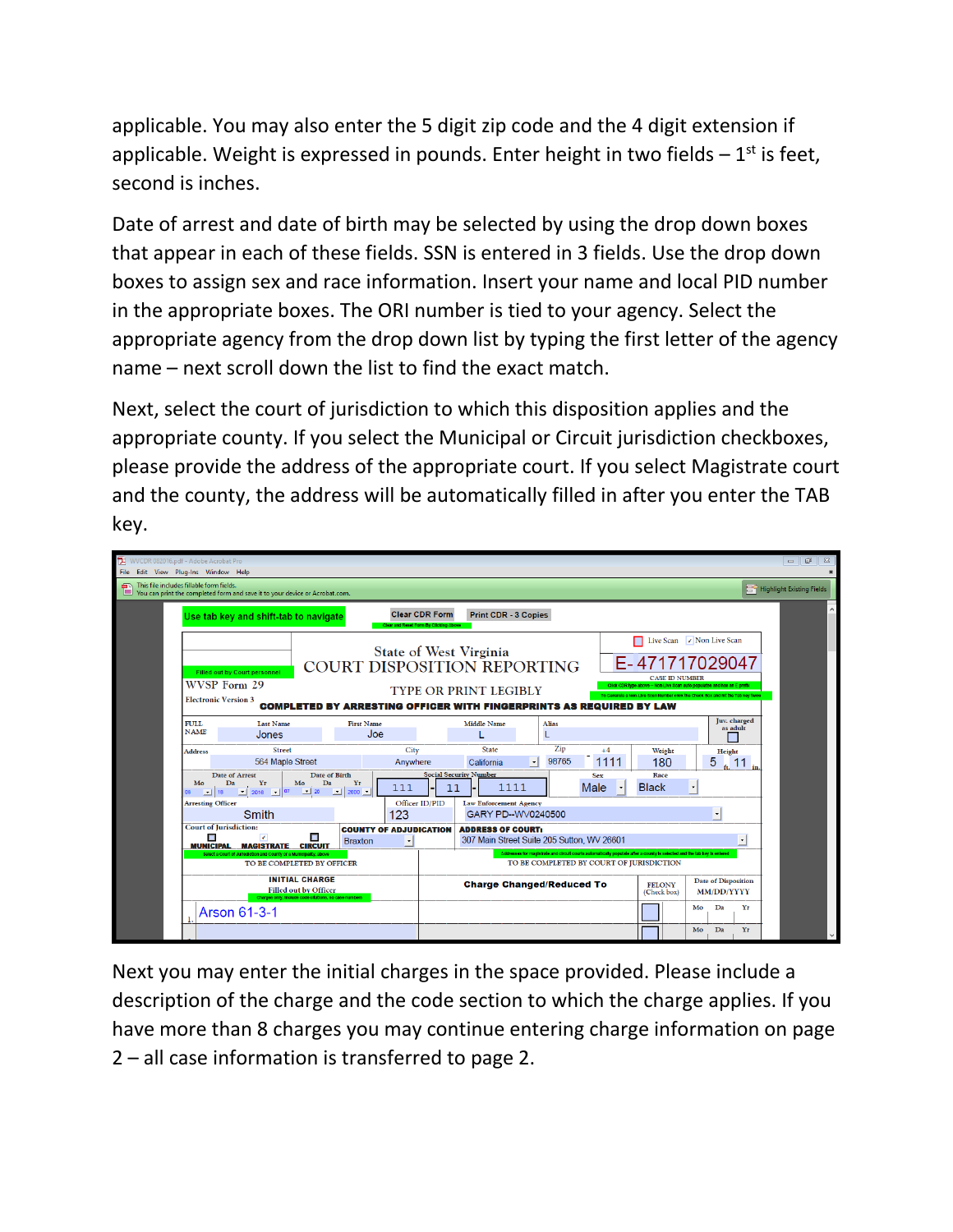applicable. You may also enter the 5 digit zip code and the 4 digit extension if applicable. Weight is expressed in pounds. Enter height in two fields  $-1<sup>st</sup>$  is feet, second is inches.

Date of arrest and date of birth may be selected by using the drop down boxes that appear in each of these fields. SSN is entered in 3 fields. Use the drop down boxes to assign sex and race information. Insert your name and local PID number in the appropriate boxes. The ORI number is tied to your agency. Select the appropriate agency from the drop down list by typing the first letter of the agency name – next scroll down the list to find the exact match.

Next, select the court of jurisdiction to which this disposition applies and the appropriate county. If you select the Municipal or Circuit jurisdiction checkboxes, please provide the address of the appropriate court. If you select Magistrate court and the county, the address will be automatically filled in after you enter the TAB key.



Next you may enter the initial charges in the space provided. Please include a description of the charge and the code section to which the charge applies. If you have more than 8 charges you may continue entering charge information on page 2 – all case information is transferred to page 2.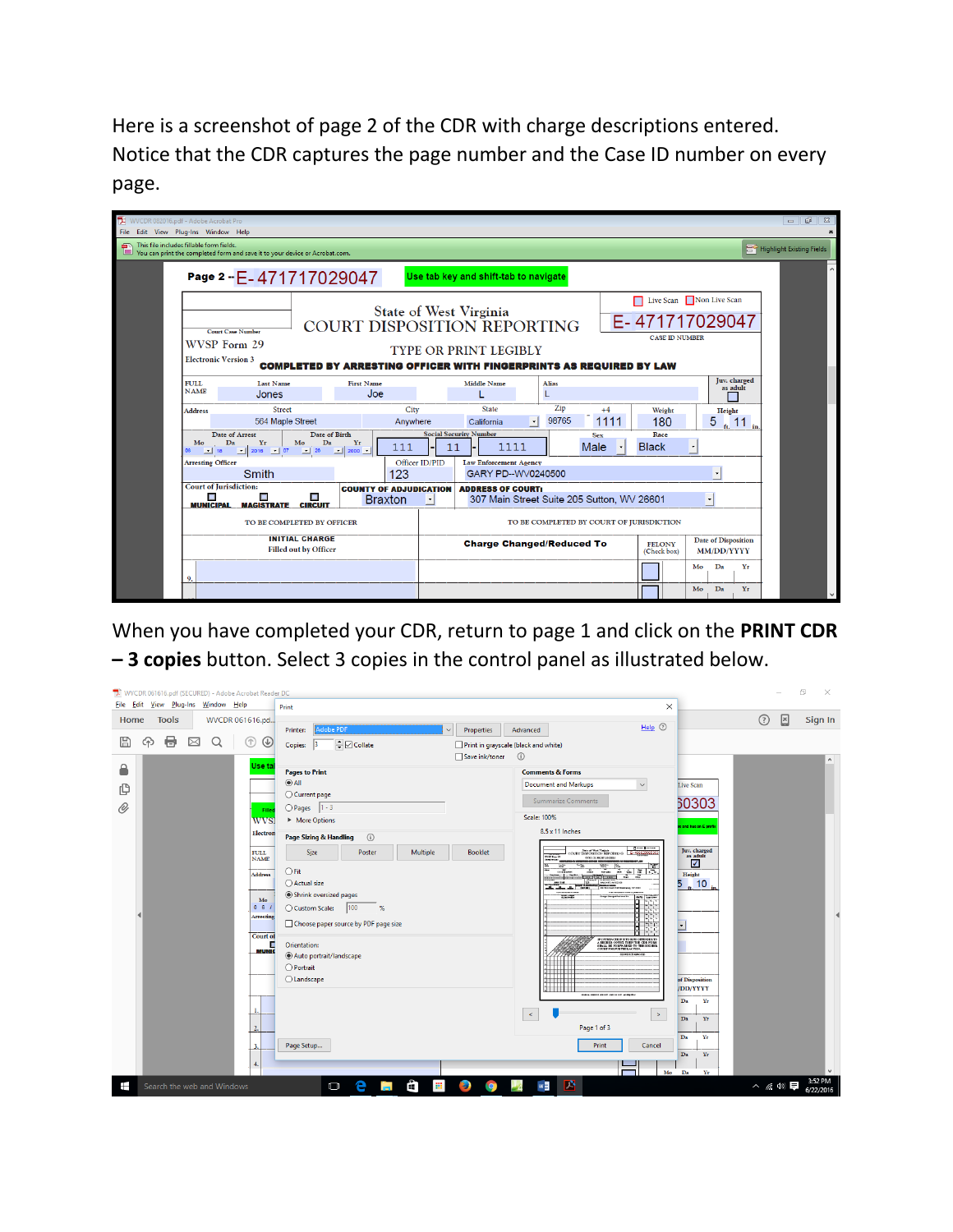Here is a screenshot of page 2 of the CDR with charge descriptions entered. Notice that the CDR captures the page number and the Case ID number on every page.

| WVCDR 082016.pdf - Adobe Acrobat Pro<br>$\Box$<br>File Edit View Plug-Ins Window Help                                        |                                                                                                                                                                                                                                                                                                                      |                                                                   |                                            |                                                                                                                     |                |                                                                        |              |                           |                      |               | 6月<br>$\Sigma$       |                          |                                     |
|------------------------------------------------------------------------------------------------------------------------------|----------------------------------------------------------------------------------------------------------------------------------------------------------------------------------------------------------------------------------------------------------------------------------------------------------------------|-------------------------------------------------------------------|--------------------------------------------|---------------------------------------------------------------------------------------------------------------------|----------------|------------------------------------------------------------------------|--------------|---------------------------|----------------------|---------------|----------------------|--------------------------|-------------------------------------|
| This file includes fillable form fields.<br>e<br>You can print the completed form and save it to your device or Acrobat.com. |                                                                                                                                                                                                                                                                                                                      |                                                                   |                                            |                                                                                                                     |                |                                                                        |              |                           |                      |               |                      |                          | <b>Bo</b> Highlight Existing Fields |
|                                                                                                                              | Page 2 - E-471717029047<br>Use tab key and shift-tab to navigate                                                                                                                                                                                                                                                     |                                                                   |                                            |                                                                                                                     |                |                                                                        |              |                           |                      |               |                      |                          |                                     |
|                                                                                                                              | Live Scan Non Live Scan<br>State of West Virginia<br>E-471717029047<br>COURT DISPOSITION REPORTING<br><b>Court Case Number</b><br><b>CASE ID NUMBER</b><br>WVSP Form 29<br><b>TYPE OR PRINT LEGIBLY</b><br><b>Electronic Version 3</b><br><b>COMPLETED BY ARRESTING OFFICER WITH FINGERPRINTS AS REQUIRED BY LAW</b> |                                                                   |                                            |                                                                                                                     |                |                                                                        |              |                           |                      |               |                      |                          |                                     |
|                                                                                                                              | <b>FULL</b><br><b>NAME</b>                                                                                                                                                                                                                                                                                           | <b>Last Name</b><br>Jones                                         |                                            | <b>First Name</b><br>Joe                                                                                            |                | <b>Middle Name</b>                                                     | <b>Alias</b> |                           |                      |               |                      | Juv. charged<br>as adult |                                     |
|                                                                                                                              | <b>Address</b>                                                                                                                                                                                                                                                                                                       | <b>Street</b><br>564 Maple Street                                 |                                            | City<br>Anywhere                                                                                                    |                | <b>State</b><br>$\cdot$<br>California                                  | Zip<br>98765 | $+4$<br>1111              |                      | Weight<br>180 | Height<br>5          | 11                       |                                     |
|                                                                                                                              | Mo<br>$\frac{1}{2}$ 18                                                                                                                                                                                                                                                                                               | <b>Date of Arrest</b><br>Yr<br>Mo<br>Da<br>$-$ 2016 $-$ 07 $-$ 26 | <b>Date of Birth</b><br>Da<br>$-$ 2000 $-$ | Yr<br>111                                                                                                           | 11             | <b>Social Security Number</b><br>1111                                  |              | <b>Sex</b><br><b>Male</b> | Race<br><b>Black</b> |               |                      |                          |                                     |
|                                                                                                                              | <b>Arresting Officer</b>                                                                                                                                                                                                                                                                                             | Smith                                                             |                                            | 123                                                                                                                 | Officer ID/PID | <b>Law Enforcement Agency</b><br>GARY PD--WV0240500                    |              |                           |                      |               | $\check{}$           |                          |                                     |
|                                                                                                                              | <b>Court of Jurisdiction:</b><br><b>COUNTY OF ADJUDICATION</b><br>п<br>п<br>Π<br><b>Braxton</b><br><b>MUNICIPAL</b><br><b>MAGISTRATE</b><br><b>CIRCUIT</b><br>TO BE COMPLETED BY OFFICER                                                                                                                             |                                                                   |                                            |                                                                                                                     | ⊡              | <b>ADDRESS OF COURT:</b><br>307 Main Street Suite 205 Sutton, WV 26601 |              |                           |                      |               | $\pmb{\cdot}$        |                          |                                     |
|                                                                                                                              |                                                                                                                                                                                                                                                                                                                      |                                                                   |                                            | TO BE COMPLETED BY COURT OF JURISDICTION                                                                            |                |                                                                        |              |                           |                      |               |                      |                          |                                     |
|                                                                                                                              | <b>INITIAL CHARGE</b><br><b>Filled out by Officer</b>                                                                                                                                                                                                                                                                |                                                                   |                                            | <b>Date of Disposition</b><br><b>Charge Changed/Reduced To</b><br><b>FELONY</b><br><b>MM/DD/YYYY</b><br>(Check box) |                |                                                                        |              |                           |                      |               |                      |                          |                                     |
|                                                                                                                              | 9.                                                                                                                                                                                                                                                                                                                   |                                                                   |                                            |                                                                                                                     |                |                                                                        |              |                           |                      |               | Da<br>Mo<br>Mo<br>Da | Yг<br>Yr                 |                                     |
|                                                                                                                              |                                                                                                                                                                                                                                                                                                                      |                                                                   |                                            |                                                                                                                     |                |                                                                        |              |                           |                      |               |                      |                          |                                     |

When you have completed your CDR, return to page 1 and click on the **PRINT CDR – 3 copies** button. Select 3 copies in the control panel as illustrated below.

| WVCDR 061616.pdf (SECURED) - Adobe Acrobat Reader DC                            |                                                                                                                                          |                                                                                                                                                                                                 | $\Box$<br>$\times$                                                                                                          |
|---------------------------------------------------------------------------------|------------------------------------------------------------------------------------------------------------------------------------------|-------------------------------------------------------------------------------------------------------------------------------------------------------------------------------------------------|-----------------------------------------------------------------------------------------------------------------------------|
| Eile Edit View Plug-Ins Window Help                                             | Print                                                                                                                                    | $\times$                                                                                                                                                                                        |                                                                                                                             |
| <b>Tools</b><br>WVCDR 061616.pd<br>Home                                         | Adobe PDF<br>Properties<br>Printer:<br>$\checkmark$                                                                                      | $HeIp$ $@$<br>Advanced                                                                                                                                                                          | $\boxed{\times}$<br>$\odot$<br>Sign In                                                                                      |
| ⊜<br>$\Omega$<br>圕<br>$\boxtimes$<br>क़<br>➀<br>$\circledcirc$                  | - Collate<br> 3 <br>Copies:<br>Save ink/toner                                                                                            | Print in grayscale (black and white)<br>$\odot$                                                                                                                                                 | $\wedge$                                                                                                                    |
| Use tal<br>₽<br>₫<br>O)<br>Filler<br><b>WVS</b><br>Electron                     | <b>Pages to Print</b><br>$^{\circ}$ All<br>○ Current page<br>$O$ Pages $1 - 3$<br>▶ More Options<br>Page Sizing & Handling<br>$\odot$    | <b>Comments &amp; Forms</b><br><b>Document and Markups</b><br>$\checkmark$<br><b>Summarize Comments</b><br>Scale: 100%<br>8.5 x 11 Inches                                                       | <b>Live Scan</b><br>50303<br>and has an E prefil                                                                            |
| <b>FULL</b><br><b>NAME</b><br><b>Address</b><br>Mo<br>0 6 1<br><b>Arresting</b> | Size<br>Multiple<br><b>Booklet</b><br>Poster<br>$\bigcirc$ Fit<br>○ Actual size<br>Shrink oversized pages<br>100<br>○ Custom Scale:<br>% | <b>Distribution</b><br>San of Was United<br>Exterior Reproduced<br>35.0214<br>work on expectation.<br>E<br>W<br>$rac{1}{2}$<br>血苗<br>Perfection<br>Anciot<br>العلمات<br><b>Jane</b><br>▫<br>σ   | Juv. charged<br>as adult<br>$\checkmark$<br>Height<br>$f_{\text{ft}}$ , 10 $f_{\text{in}}$<br>5.<br>$\overline{\mathbf{A}}$ |
| <b>Court of</b><br>п<br><b>MUNIC</b>                                            | Choose paper source by PDF page size<br>Orientation:<br>Auto portrait/landscape<br>$O$ Portrait<br>$O$ Landscape                         | п<br>Я<br>IFCOURTACTION IS TO MND OFFIDER TO A HIGHER COURT THEN THE CDR FORM SHALL BE FORWARDED TO THE HIGHER<br>COURT FOR FURTHERACTION.<br>┉<br>the company's process and success processing | ×<br>of Disposition<br>/DD/YYYY<br>Da<br>Yr                                                                                 |
| $\mathcal{L}$<br>3<br>4.                                                        | Page Setup                                                                                                                               | $\prec$<br>$\rightarrow$<br>Page 1 of 3<br><b>Print</b><br>Cancel                                                                                                                               | Da<br>Yr<br>Da<br>Yr<br>Da<br>Yr<br>Mo Da<br>Yr                                                                             |
| Ŧ<br>Search the web and Windows                                                 | е<br>Ĥ<br>田<br>Ð<br>$\Box$<br><b>IQ</b><br>n.                                                                                            | 齊<br>w                                                                                                                                                                                          | 3:52 PM<br>$\land$ ( $\oplus$ )<br>6/22/2016                                                                                |